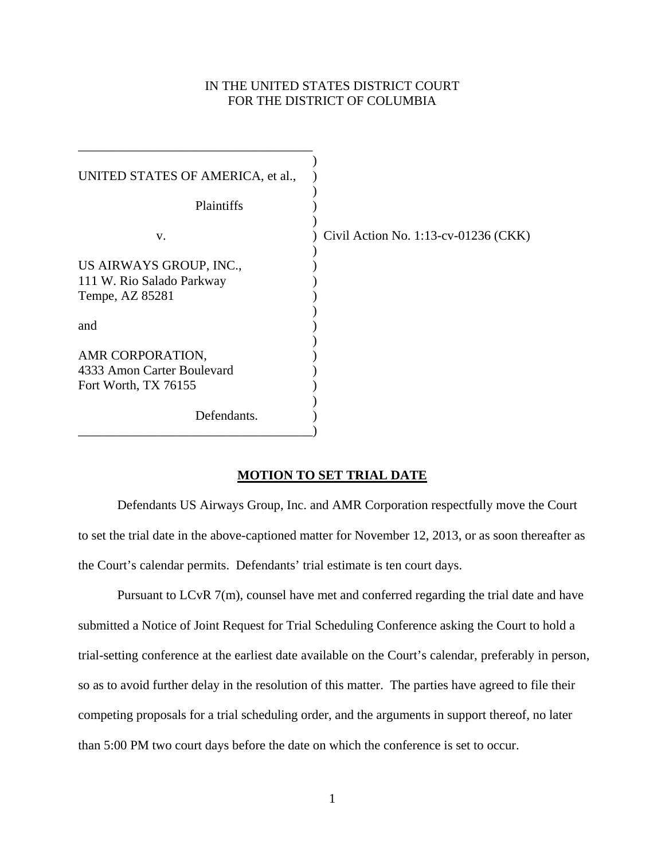# IN THE UNITED STATES DISTRICT COURT FOR THE DISTRICT OF COLUMBIA

| UNITED STATES OF AMERICA, et al.,<br>Plaintiffs                         |                                         |
|-------------------------------------------------------------------------|-----------------------------------------|
| V.                                                                      | Civil Action No. $1:13$ -cv-01236 (CKK) |
| US AIRWAYS GROUP, INC.,<br>111 W. Rio Salado Parkway<br>Tempe, AZ 85281 |                                         |
| and                                                                     |                                         |
| AMR CORPORATION,<br>4333 Amon Carter Boulevard<br>Fort Worth, TX 76155  |                                         |
| Defendants.                                                             |                                         |

## **MOTION TO SET TRIAL DATE**

 Defendants US Airways Group, Inc. and AMR Corporation respectfully move the Court to set the trial date in the above-captioned matter for November 12, 2013, or as soon thereafter as the Court's calendar permits. Defendants' trial estimate is ten court days.

 Pursuant to LCvR 7(m), counsel have met and conferred regarding the trial date and have submitted a Notice of Joint Request for Trial Scheduling Conference asking the Court to hold a trial-setting conference at the earliest date available on the Court's calendar, preferably in person, so as to avoid further delay in the resolution of this matter. The parties have agreed to file their competing proposals for a trial scheduling order, and the arguments in support thereof, no later than 5:00 PM two court days before the date on which the conference is set to occur.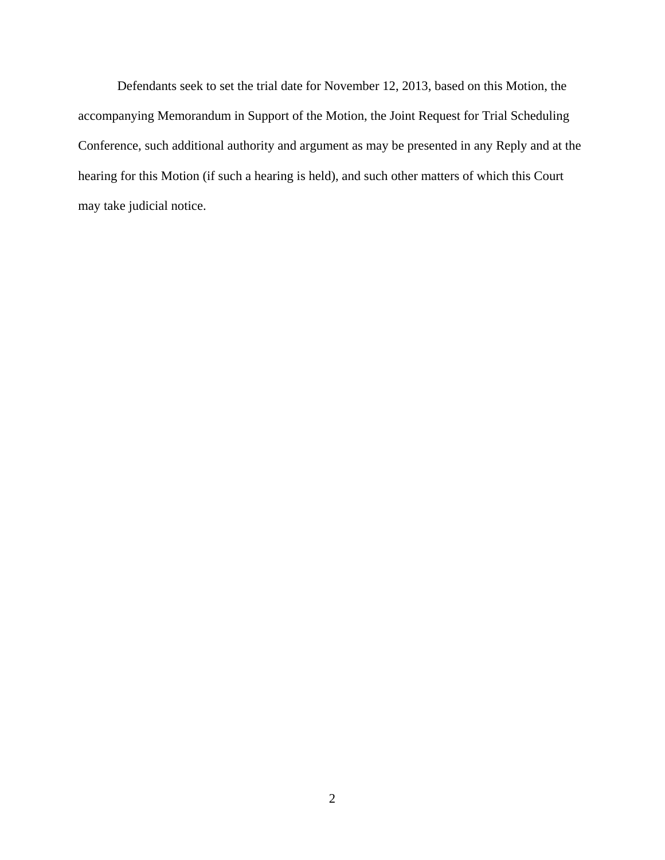Defendants seek to set the trial date for November 12, 2013, based on this Motion, the accompanying Memorandum in Support of the Motion, the Joint Request for Trial Scheduling Conference, such additional authority and argument as may be presented in any Reply and at the hearing for this Motion (if such a hearing is held), and such other matters of which this Court may take judicial notice.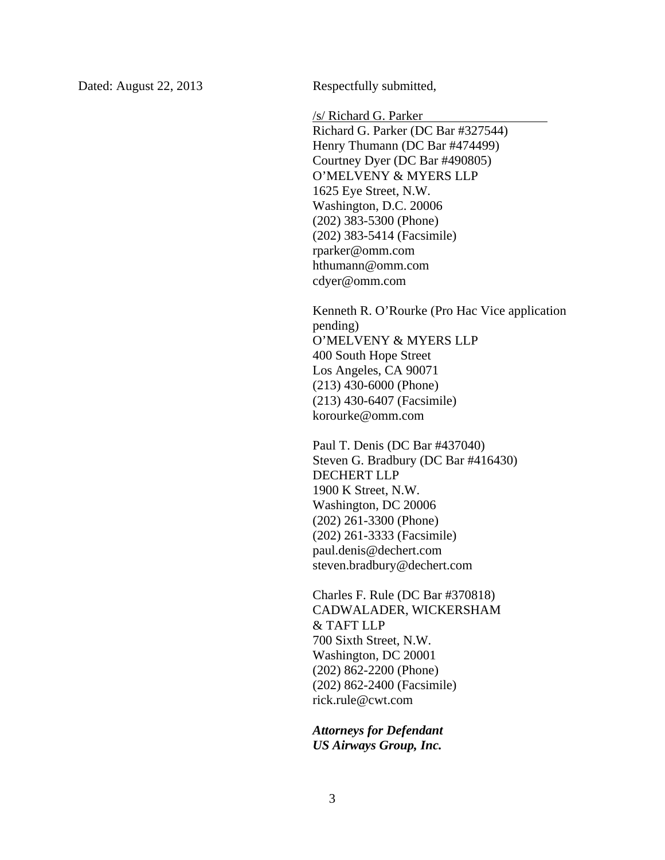Dated: August 22, 2013 Respectfully submitted,

/s/ Richard G. Parker

 Richard G. Parker (DC Bar #327544) Henry Thumann (DC Bar #474499) Courtney Dyer (DC Bar #490805) O'MELVENY & MYERS LLP 1625 Eye Street, N.W. Washington, D.C. 20006 (202) 383-5300 (Phone) (202) 383-5414 (Facsimile) rparker@omm.com hthumann@omm.com cdyer@omm.com

Kenneth R. O'Rourke (Pro Hac Vice application pending) O'MELVENY & MYERS LLP 400 South Hope Street Los Angeles, CA 90071 (213) 430-6000 (Phone) (213) 430-6407 (Facsimile) korourke@omm.com

Paul T. Denis (DC Bar #437040) Steven G. Bradbury (DC Bar #416430) DECHERT LLP 1900 K Street, N.W. Washington, DC 20006 (202) 261-3300 (Phone) (202) 261-3333 (Facsimile) paul.denis@dechert.com steven.bradbury@dechert.com

Charles F. Rule (DC Bar #370818) CADWALADER, WICKERSHAM & TAFT LLP 700 Sixth Street, N.W. Washington, DC 20001 (202) 862-2200 (Phone) (202) 862-2400 (Facsimile) rick.rule@cwt.com

*Attorneys for Defendant US Airways Group, Inc.*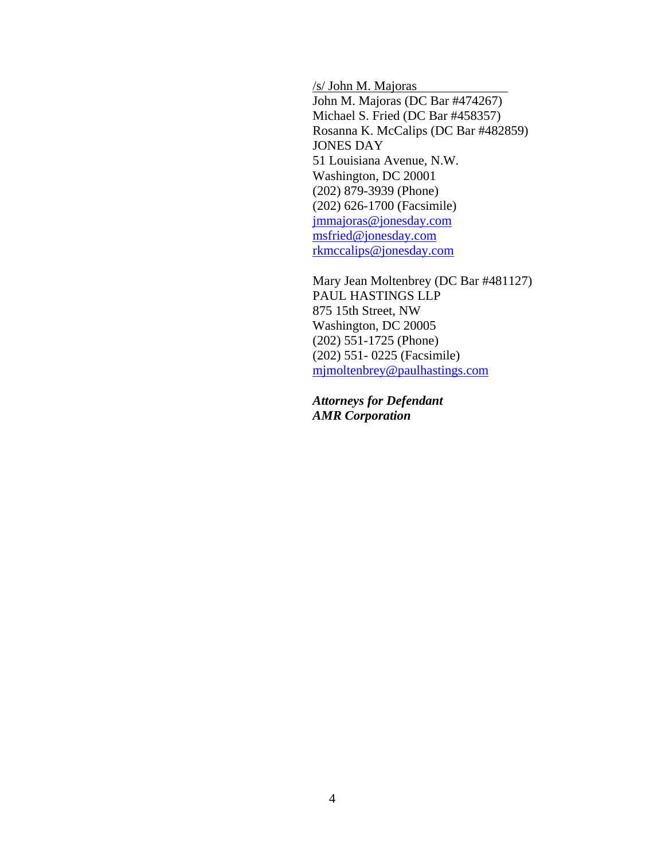/s/ John M. Majoras John M. Majoras (DC Bar #474267) Michael S. Fried (DC Bar #458357) Rosanna K. McCalips (DC Bar #482859) JONES DAY 51 Louisiana Avenue, N.W. Washington, DC 20001 (202) 879-3939 (Phone) (202) 626-1700 (Facsimile) jmmajoras@jonesday.com msfried@jonesday.com rkmccalips@jonesday.com

Mary Jean Moltenbrey (DC Bar #481127) PAUL HASTINGS LLP 875 15th Street, NW Washington, DC 20005 (202) 551-1725 (Phone) (202) 551- 0225 (Facsimile) mjmoltenbrey@paulhastings.com

*Attorneys for Defendant AMR Corporation*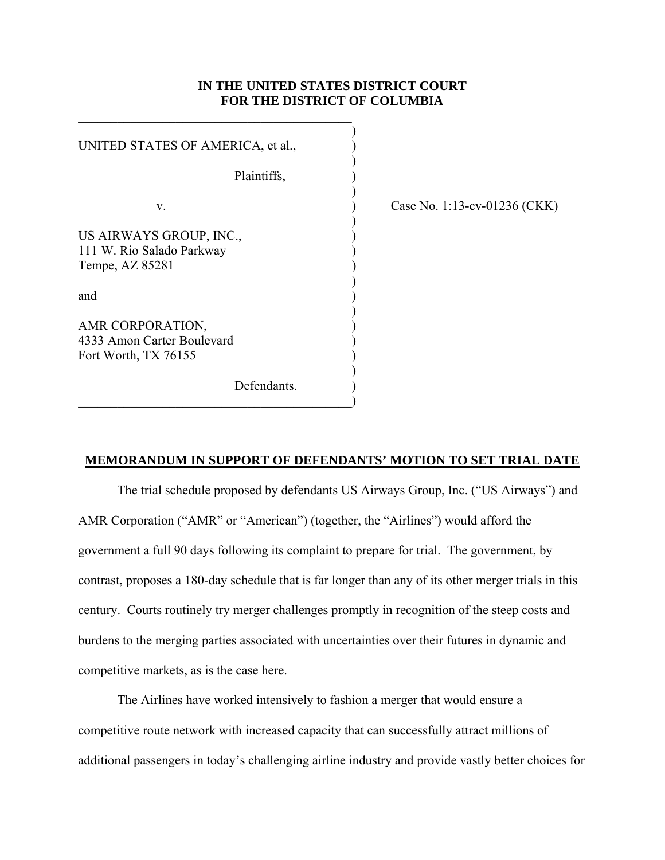# **IN THE UNITED STATES DISTRICT COURT FOR THE DISTRICT OF COLUMBIA**

| UNITED STATES OF AMERICA, et al.,                                       |  |
|-------------------------------------------------------------------------|--|
| Plaintiffs,                                                             |  |
| V.                                                                      |  |
| US AIRWAYS GROUP, INC.,<br>111 W. Rio Salado Parkway<br>Tempe, AZ 85281 |  |
| and                                                                     |  |
| AMR CORPORATION,<br>4333 Amon Carter Boulevard<br>Fort Worth, TX 76155  |  |
| Defendants.                                                             |  |

 $\qquad \qquad \qquad \qquad \qquad \qquad \qquad$ 

 $\mathcal{L}_\mathcal{L} = \mathcal{L}_\mathcal{L} = \mathcal{L}_\mathcal{L} = \mathcal{L}_\mathcal{L} = \mathcal{L}_\mathcal{L} = \mathcal{L}_\mathcal{L} = \mathcal{L}_\mathcal{L} = \mathcal{L}_\mathcal{L} = \mathcal{L}_\mathcal{L} = \mathcal{L}_\mathcal{L} = \mathcal{L}_\mathcal{L} = \mathcal{L}_\mathcal{L} = \mathcal{L}_\mathcal{L} = \mathcal{L}_\mathcal{L} = \mathcal{L}_\mathcal{L} = \mathcal{L}_\mathcal{L} = \mathcal{L}_\mathcal{L}$ 

Case No. 1:13-cv-01236 (CKK)

#### **MEMORANDUM IN SUPPORT OF DEFENDANTS' MOTION TO SET TRIAL DATE**

The trial schedule proposed by defendants US Airways Group, Inc. ("US Airways") and AMR Corporation ("AMR" or "American") (together, the "Airlines") would afford the government a full 90 days following its complaint to prepare for trial. The government, by contrast, proposes a 180-day schedule that is far longer than any of its other merger trials in this century. Courts routinely try merger challenges promptly in recognition of the steep costs and burdens to the merging parties associated with uncertainties over their futures in dynamic and competitive markets, as is the case here.

 The Airlines have worked intensively to fashion a merger that would ensure a competitive route network with increased capacity that can successfully attract millions of additional passengers in today's challenging airline industry and provide vastly better choices for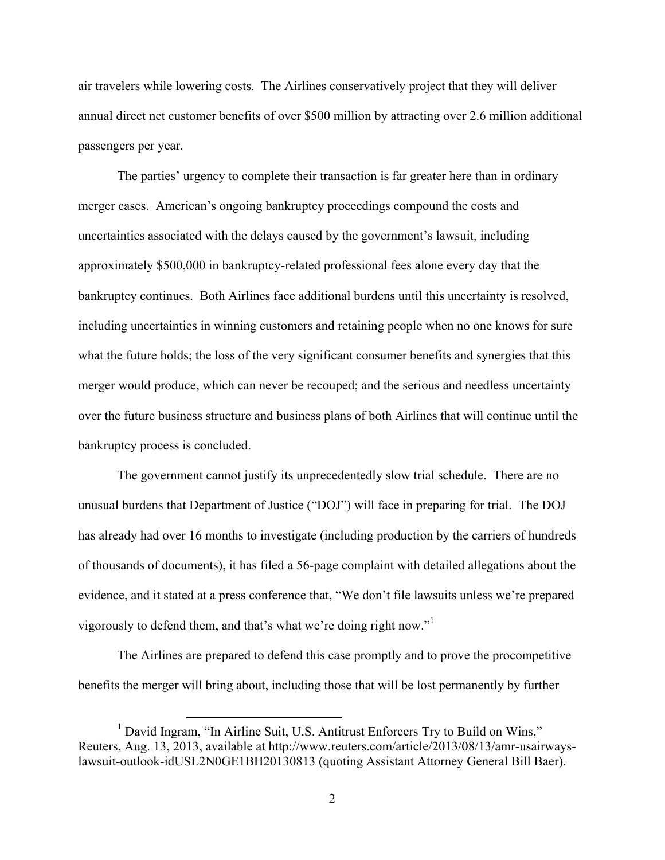air travelers while lowering costs. The Airlines conservatively project that they will deliver annual direct net customer benefits of over \$500 million by attracting over 2.6 million additional passengers per year.

 The parties' urgency to complete their transaction is far greater here than in ordinary merger cases. American's ongoing bankruptcy proceedings compound the costs and uncertainties associated with the delays caused by the government's lawsuit, including approximately \$500,000 in bankruptcy-related professional fees alone every day that the bankruptcy continues. Both Airlines face additional burdens until this uncertainty is resolved, including uncertainties in winning customers and retaining people when no one knows for sure what the future holds; the loss of the very significant consumer benefits and synergies that this merger would produce, which can never be recouped; and the serious and needless uncertainty over the future business structure and business plans of both Airlines that will continue until the bankruptcy process is concluded.

 The government cannot justify its unprecedentedly slow trial schedule. There are no unusual burdens that Department of Justice ("DOJ") will face in preparing for trial. The DOJ has already had over 16 months to investigate (including production by the carriers of hundreds of thousands of documents), it has filed a 56-page complaint with detailed allegations about the evidence, and it stated at a press conference that, "We don't file lawsuits unless we're prepared vigorously to defend them, and that's what we're doing right now."<sup>1</sup>

 The Airlines are prepared to defend this case promptly and to prove the procompetitive benefits the merger will bring about, including those that will be lost permanently by further

<sup>&</sup>lt;sup>1</sup> David Ingram, "In Airline Suit, U.S. Antitrust Enforcers Try to Build on Wins," Reuters, Aug. 13, 2013, available at http://www.reuters.com/article/2013/08/13/amr-usairwayslawsuit-outlook-idUSL2N0GE1BH20130813 (quoting Assistant Attorney General Bill Baer).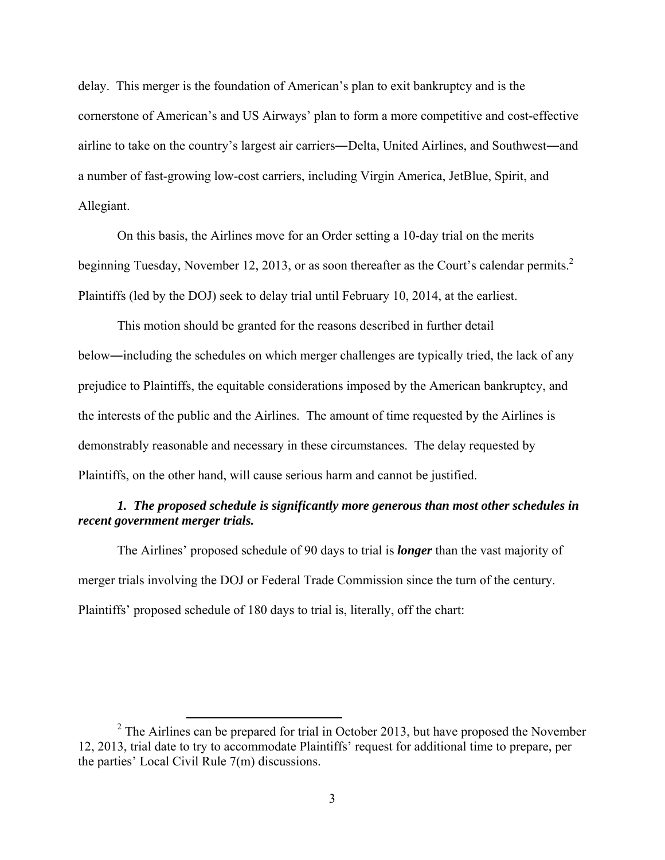delay. This merger is the foundation of American's plan to exit bankruptcy and is the cornerstone of American's and US Airways' plan to form a more competitive and cost-effective airline to take on the country's largest air carriers―Delta, United Airlines, and Southwest―and a number of fast-growing low-cost carriers, including Virgin America, JetBlue, Spirit, and Allegiant.

 On this basis, the Airlines move for an Order setting a 10-day trial on the merits beginning Tuesday, November 12, 2013, or as soon thereafter as the Court's calendar permits.<sup>2</sup> Plaintiffs (led by the DOJ) seek to delay trial until February 10, 2014, at the earliest.

 This motion should be granted for the reasons described in further detail below―including the schedules on which merger challenges are typically tried, the lack of any prejudice to Plaintiffs, the equitable considerations imposed by the American bankruptcy, and the interests of the public and the Airlines. The amount of time requested by the Airlines is demonstrably reasonable and necessary in these circumstances. The delay requested by Plaintiffs, on the other hand, will cause serious harm and cannot be justified.

# *1. The proposed schedule is significantly more generous than most other schedules in recent government merger trials.*

 The Airlines' proposed schedule of 90 days to trial is *longer* than the vast majority of merger trials involving the DOJ or Federal Trade Commission since the turn of the century. Plaintiffs' proposed schedule of 180 days to trial is, literally, off the chart:

<sup>&</sup>lt;sup>2</sup> The Airlines can be prepared for trial in October 2013, but have proposed the November 12, 2013, trial date to try to accommodate Plaintiffs' request for additional time to prepare, per the parties' Local Civil Rule 7(m) discussions.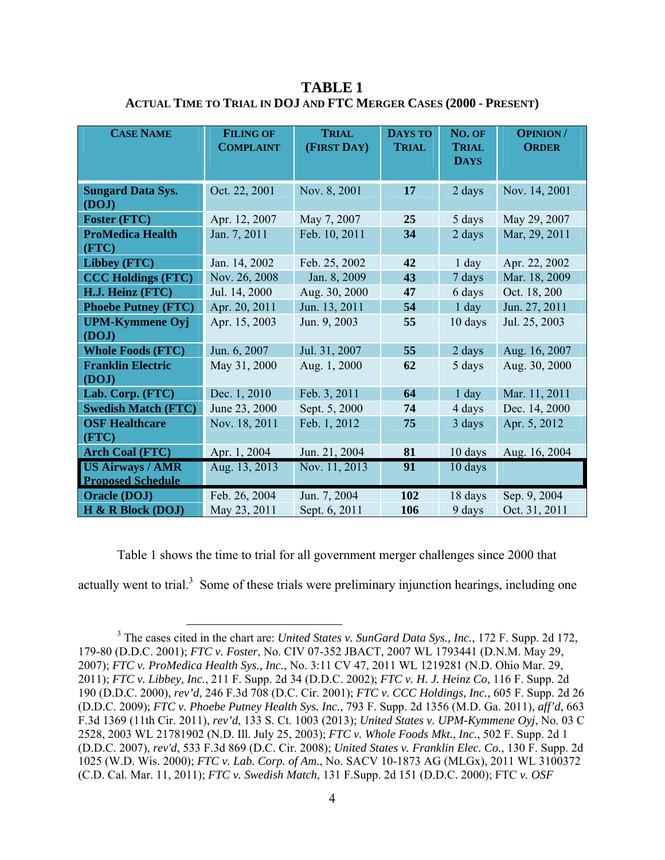| <b>CASE NAME</b>           | <b>FILING OF</b><br><b>COMPLAINT</b> | <b>TRIAL</b><br>(FIRST DAY) | <b>DAYS TO</b><br><b>TRIAL</b> | NO. OF<br><b>TRIAL</b><br><b>DAYS</b> | <b>OPINION/</b><br><b>ORDER</b> |
|----------------------------|--------------------------------------|-----------------------------|--------------------------------|---------------------------------------|---------------------------------|
|                            |                                      |                             |                                |                                       |                                 |
| <b>Sungard Data Sys.</b>   | Oct. 22, 2001                        | Nov. 8, 2001                | 17                             | 2 days                                | Nov. 14, 2001                   |
| (DOJ)                      |                                      |                             |                                |                                       |                                 |
| <b>Foster (FTC)</b>        | Apr. 12, 2007                        | May 7, 2007                 | 25                             | 5 days                                | May 29, 2007                    |
| <b>ProMedica Health</b>    | Jan. 7, 2011                         | Feb. 10, 2011               | 34                             | 2 days                                | Mar, 29, 2011                   |
| (FTC)                      |                                      |                             |                                |                                       |                                 |
| Libbey (FTC)               | Jan. 14, 2002                        | Feb. 25, 2002               | 42                             | $1$ day                               | Apr. 22, 2002                   |
| <b>CCC Holdings (FTC)</b>  | Nov. 26, 2008                        | Jan. 8, 2009                | 43                             | 7 days                                | Mar. 18, 2009                   |
| H.J. Heinz (FTC)           | Jul. 14, 2000                        | Aug. 30, 2000               | 47                             | 6 days                                | Oct. 18, 200                    |
| <b>Phoebe Putney (FTC)</b> | Apr. 20, 2011                        | Jun. 13, 2011               | 54                             | $1$ day                               | Jun. 27, 2011                   |
| <b>UPM-Kymmene Oyj</b>     | Apr. 15, 2003                        | Jun. 9, 2003                | 55                             | 10 days                               | Jul. 25, 2003                   |
| (DOJ)                      |                                      |                             |                                |                                       |                                 |
| <b>Whole Foods (FTC)</b>   | Jun. 6, 2007                         | Jul. 31, 2007               | 55                             | 2 days                                | Aug. 16, 2007                   |
| <b>Franklin Electric</b>   | May 31, 2000                         | Aug. 1, 2000                | 62                             | 5 days                                | Aug. 30, 2000                   |
| (DOJ)                      |                                      |                             |                                |                                       |                                 |
| Lab. Corp. (FTC)           | Dec. 1, 2010                         | Feb. 3, 2011                | 64                             | $1$ day                               | Mar. 11, 2011                   |
| <b>Swedish Match (FTC)</b> | June 23, 2000                        | Sept. 5, 2000               | 74                             | 4 days                                | Dec. 14, 2000                   |
| <b>OSF Healthcare</b>      | Nov. 18, 2011                        | Feb. 1, 2012                | 75                             | 3 days                                | Apr. 5, 2012                    |
| (FTC)                      |                                      |                             |                                |                                       |                                 |
| <b>Arch Coal (FTC)</b>     | Apr. 1, 2004                         | Jun. 21, 2004               | 81                             | 10 days                               | Aug. 16, 2004                   |
| <b>US Airways / AMR</b>    | Aug. 13, 2013                        | Nov. 11, 2013               | 91                             | 10 days                               |                                 |
| <b>Proposed Schedule</b>   |                                      |                             |                                |                                       |                                 |
| <b>Oracle (DOJ)</b>        | Feb. 26, 2004                        | Jun. 7, 2004                | 102                            | 18 days                               | Sep. 9, 2004                    |
| H & R Block (DOJ)          | May 23, 2011                         | Sept. 6, 2011               | 106                            | 9 days                                | Oct. 31, 2011                   |

**TABLE 1 ACTUAL TIME TO TRIAL IN DOJ AND FTC MERGER CASES (2000 - PRESENT)** 

 Table 1 shows the time to trial for all government merger challenges since 2000 that actually went to trial. $3$  Some of these trials were preliminary injunction hearings, including one

<sup>&</sup>lt;sup>3</sup> The cases cited in the chart are: *United States v. SunGard Data Sys., Inc.*, 172 F. Supp. 2d 172, 179-80 (D.D.C. 2001); *FTC v. Foster*, No. CIV 07-352 JBACT, 2007 WL 1793441 (D.N.M. May 29, 2007); *FTC v. ProMedica Health Sys., Inc.*, No. 3:11 CV 47, 2011 WL 1219281 (N.D. Ohio Mar. 29, 2011); *FTC v. Libbey, Inc.*, 211 F. Supp. 2d 34 (D.D.C. 2002); *FTC v. H. J. Heinz Co*, 116 F. Supp. 2d 190 (D.D.C. 2000), *rev'd*, 246 F.3d 708 (D.C. Cir. 2001); *FTC v. CCC Holdings, Inc.,* 605 F. Supp. 2d 26 (D.D.C. 2009); *FTC v. Phoebe Putney Health Sys. Inc.*, 793 F. Supp. 2d 1356 (M.D. Ga. 2011), *aff'd*, 663 F.3d 1369 (11th Cir. 2011), *rev'd*, 133 S. Ct. 1003 (2013); *United States v. UPM-Kymmene Oyj*, No. 03 C 2528, 2003 WL 21781902 (N.D. Ill. July 25, 2003); *FTC v. Whole Foods Mkt., Inc.*, 502 F. Supp. 2d 1 (D.D.C. 2007), *rev'd*, 533 F.3d 869 (D.C. Cir. 2008); *United States v. Franklin Elec. Co.*, 130 F. Supp. 2d 1025 (W.D. Wis. 2000); *FTC v. Lab. Corp. of Am.*, No. SACV 10-1873 AG (MLGx), 2011 WL 3100372 (C.D. Cal. Mar. 11, 2011); *FTC v. Swedish Match*, 131 F.Supp. 2d 151 (D.D.C. 2000); FTC *v. OSF*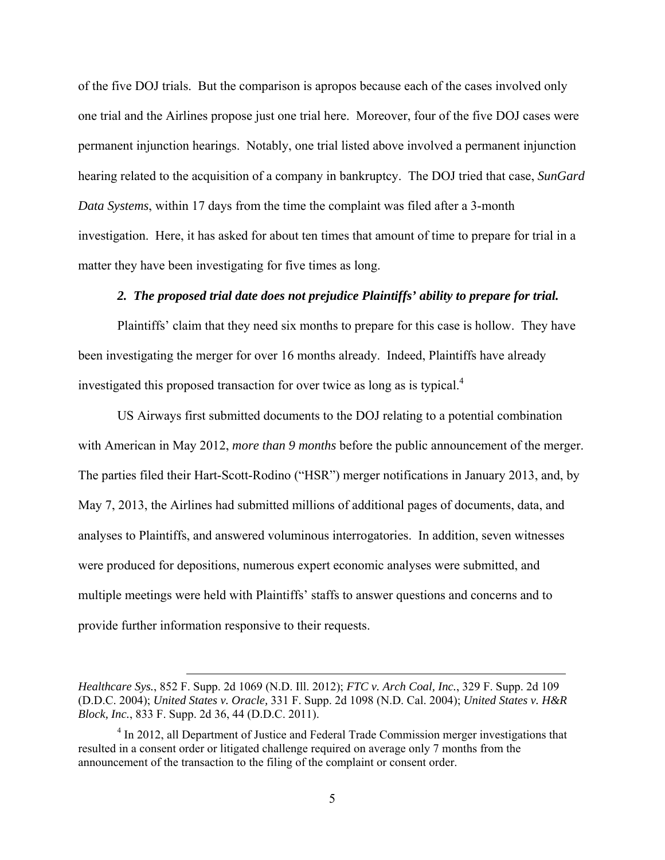of the five DOJ trials. But the comparison is apropos because each of the cases involved only one trial and the Airlines propose just one trial here. Moreover, four of the five DOJ cases were permanent injunction hearings. Notably, one trial listed above involved a permanent injunction hearing related to the acquisition of a company in bankruptcy. The DOJ tried that case, *SunGard Data Systems*, within 17 days from the time the complaint was filed after a 3-month investigation. Here, it has asked for about ten times that amount of time to prepare for trial in a matter they have been investigating for five times as long.

### *2. The proposed trial date does not prejudice Plaintiffs' ability to prepare for trial.*

 Plaintiffs' claim that they need six months to prepare for this case is hollow. They have been investigating the merger for over 16 months already. Indeed, Plaintiffs have already investigated this proposed transaction for over twice as long as is typical.<sup>4</sup>

 US Airways first submitted documents to the DOJ relating to a potential combination with American in May 2012, *more than 9 months* before the public announcement of the merger. The parties filed their Hart-Scott-Rodino ("HSR") merger notifications in January 2013, and, by May 7, 2013, the Airlines had submitted millions of additional pages of documents, data, and analyses to Plaintiffs, and answered voluminous interrogatories. In addition, seven witnesses were produced for depositions, numerous expert economic analyses were submitted, and multiple meetings were held with Plaintiffs' staffs to answer questions and concerns and to provide further information responsive to their requests.

1

*Healthcare Sys.*, 852 F. Supp. 2d 1069 (N.D. Ill. 2012); *FTC v. Arch Coal, Inc.*, 329 F. Supp. 2d 109 (D.D.C. 2004); *United States v. Oracle,* 331 F. Supp. 2d 1098 (N.D. Cal. 2004); *United States v. H&R Block, Inc.*, 833 F. Supp. 2d 36, 44 (D.D.C. 2011).

<sup>&</sup>lt;sup>4</sup> In 2012, all Department of Justice and Federal Trade Commission merger investigations that resulted in a consent order or litigated challenge required on average only 7 months from the announcement of the transaction to the filing of the complaint or consent order.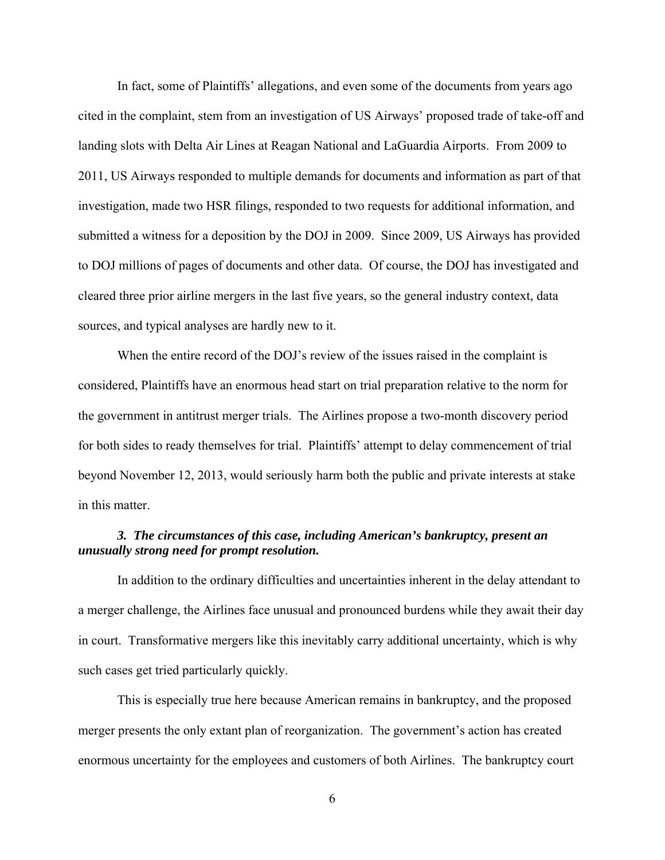In fact, some of Plaintiffs' allegations, and even some of the documents from years ago cited in the complaint, stem from an investigation of US Airways' proposed trade of take-off and landing slots with Delta Air Lines at Reagan National and LaGuardia Airports. From 2009 to 2011, US Airways responded to multiple demands for documents and information as part of that investigation, made two HSR filings, responded to two requests for additional information, and submitted a witness for a deposition by the DOJ in 2009. Since 2009, US Airways has provided to DOJ millions of pages of documents and other data. Of course, the DOJ has investigated and cleared three prior airline mergers in the last five years, so the general industry context, data sources, and typical analyses are hardly new to it.

 When the entire record of the DOJ's review of the issues raised in the complaint is considered, Plaintiffs have an enormous head start on trial preparation relative to the norm for the government in antitrust merger trials. The Airlines propose a two-month discovery period for both sides to ready themselves for trial. Plaintiffs' attempt to delay commencement of trial beyond November 12, 2013, would seriously harm both the public and private interests at stake in this matter.

## *3. The circumstances of this case, including American's bankruptcy, present an unusually strong need for prompt resolution.*

 In addition to the ordinary difficulties and uncertainties inherent in the delay attendant to a merger challenge, the Airlines face unusual and pronounced burdens while they await their day in court. Transformative mergers like this inevitably carry additional uncertainty, which is why such cases get tried particularly quickly.

 This is especially true here because American remains in bankruptcy, and the proposed merger presents the only extant plan of reorganization. The government's action has created enormous uncertainty for the employees and customers of both Airlines. The bankruptcy court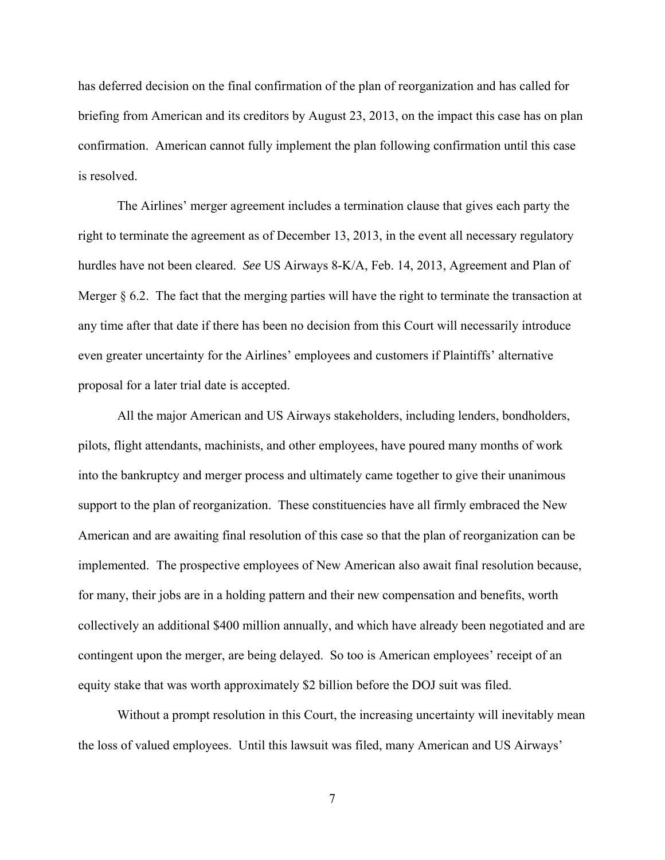has deferred decision on the final confirmation of the plan of reorganization and has called for briefing from American and its creditors by August 23, 2013, on the impact this case has on plan confirmation. American cannot fully implement the plan following confirmation until this case is resolved.

 The Airlines' merger agreement includes a termination clause that gives each party the right to terminate the agreement as of December 13, 2013, in the event all necessary regulatory hurdles have not been cleared. *See* US Airways 8-K/A, Feb. 14, 2013, Agreement and Plan of Merger § 6.2. The fact that the merging parties will have the right to terminate the transaction at any time after that date if there has been no decision from this Court will necessarily introduce even greater uncertainty for the Airlines' employees and customers if Plaintiffs' alternative proposal for a later trial date is accepted.

 All the major American and US Airways stakeholders, including lenders, bondholders, pilots, flight attendants, machinists, and other employees, have poured many months of work into the bankruptcy and merger process and ultimately came together to give their unanimous support to the plan of reorganization. These constituencies have all firmly embraced the New American and are awaiting final resolution of this case so that the plan of reorganization can be implemented. The prospective employees of New American also await final resolution because, for many, their jobs are in a holding pattern and their new compensation and benefits, worth collectively an additional \$400 million annually, and which have already been negotiated and are contingent upon the merger, are being delayed. So too is American employees' receipt of an equity stake that was worth approximately \$2 billion before the DOJ suit was filed.

 Without a prompt resolution in this Court, the increasing uncertainty will inevitably mean the loss of valued employees. Until this lawsuit was filed, many American and US Airways'

7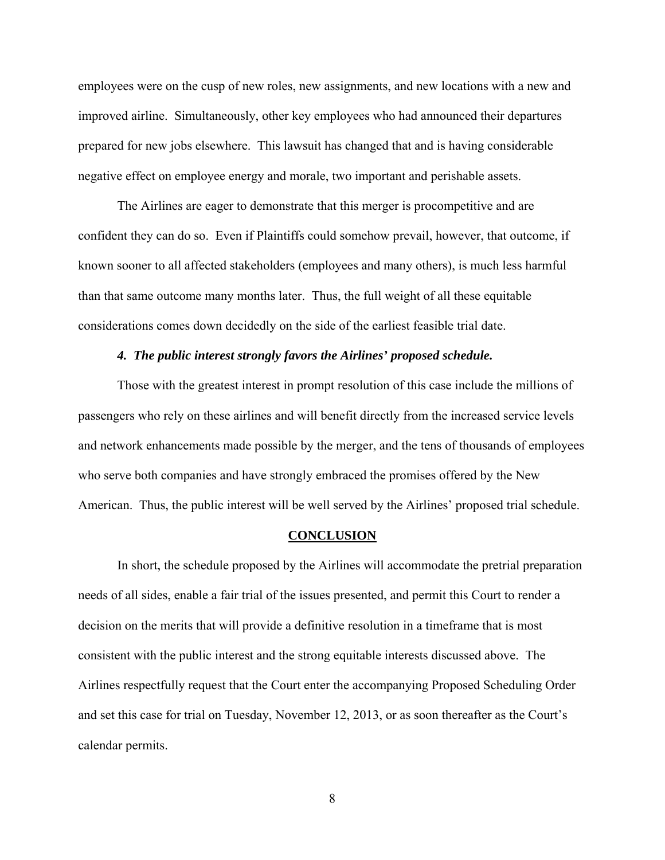employees were on the cusp of new roles, new assignments, and new locations with a new and improved airline. Simultaneously, other key employees who had announced their departures prepared for new jobs elsewhere. This lawsuit has changed that and is having considerable negative effect on employee energy and morale, two important and perishable assets.

 The Airlines are eager to demonstrate that this merger is procompetitive and are confident they can do so. Even if Plaintiffs could somehow prevail, however, that outcome, if known sooner to all affected stakeholders (employees and many others), is much less harmful than that same outcome many months later. Thus, the full weight of all these equitable considerations comes down decidedly on the side of the earliest feasible trial date.

#### *4. The public interest strongly favors the Airlines' proposed schedule.*

 Those with the greatest interest in prompt resolution of this case include the millions of passengers who rely on these airlines and will benefit directly from the increased service levels and network enhancements made possible by the merger, and the tens of thousands of employees who serve both companies and have strongly embraced the promises offered by the New American. Thus, the public interest will be well served by the Airlines' proposed trial schedule.

#### **CONCLUSION**

 In short, the schedule proposed by the Airlines will accommodate the pretrial preparation needs of all sides, enable a fair trial of the issues presented, and permit this Court to render a decision on the merits that will provide a definitive resolution in a timeframe that is most consistent with the public interest and the strong equitable interests discussed above. The Airlines respectfully request that the Court enter the accompanying Proposed Scheduling Order and set this case for trial on Tuesday, November 12, 2013, or as soon thereafter as the Court's calendar permits.

8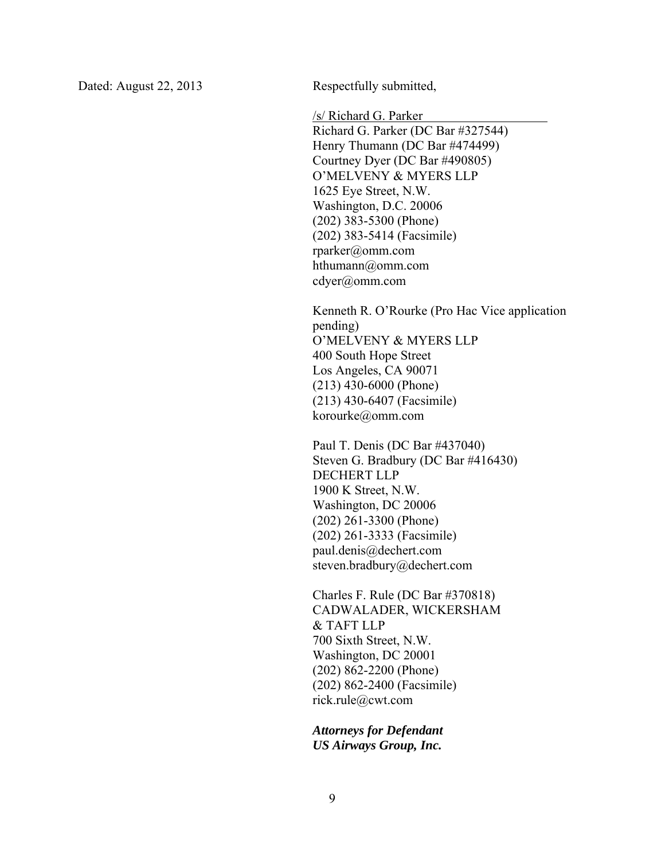Dated: August 22, 2013 Respectfully submitted,

/s/ Richard G. Parker

 Richard G. Parker (DC Bar #327544) Henry Thumann (DC Bar #474499) Courtney Dyer (DC Bar #490805) O'MELVENY & MYERS LLP 1625 Eye Street, N.W. Washington, D.C. 20006 (202) 383-5300 (Phone) (202) 383-5414 (Facsimile) rparker@omm.com hthumann@omm.com cdyer@omm.com

Kenneth R. O'Rourke (Pro Hac Vice application pending) O'MELVENY & MYERS LLP 400 South Hope Street Los Angeles, CA 90071 (213) 430-6000 (Phone) (213) 430-6407 (Facsimile) korourke@omm.com

Paul T. Denis (DC Bar #437040) Steven G. Bradbury (DC Bar #416430) DECHERT LLP 1900 K Street, N.W. Washington, DC 20006 (202) 261-3300 (Phone) (202) 261-3333 (Facsimile) paul.denis@dechert.com steven.bradbury@dechert.com

Charles F. Rule (DC Bar #370818) CADWALADER, WICKERSHAM & TAFT LLP 700 Sixth Street, N.W. Washington, DC 20001 (202) 862-2200 (Phone) (202) 862-2400 (Facsimile) rick.rule@cwt.com

*Attorneys for Defendant US Airways Group, Inc.*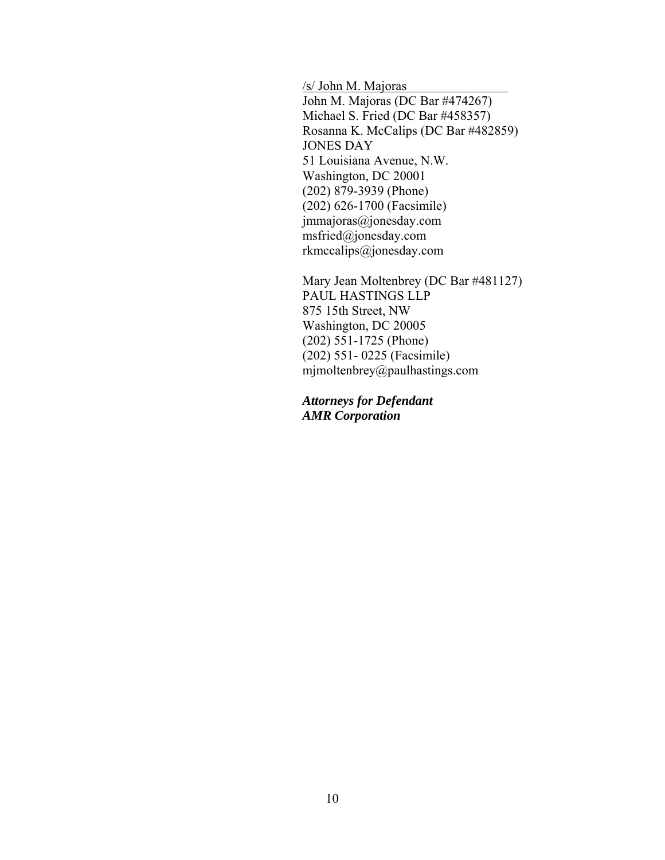/s/ John M. Majoras John M. Majoras (DC Bar #474267) Michael S. Fried (DC Bar #458357) Rosanna K. McCalips (DC Bar #482859) JONES DAY 51 Louisiana Avenue, N.W. Washington, DC 20001 (202) 879-3939 (Phone) (202) 626-1700 (Facsimile) jmmajoras@jonesday.com msfried@jonesday.com rkmccalips@jonesday.com

Mary Jean Moltenbrey (DC Bar #481127) PAUL HASTINGS LLP 875 15th Street, NW Washington, DC 20005 (202) 551-1725 (Phone) (202) 551- 0225 (Facsimile) mjmoltenbrey@paulhastings.com

*Attorneys for Defendant AMR Corporation*